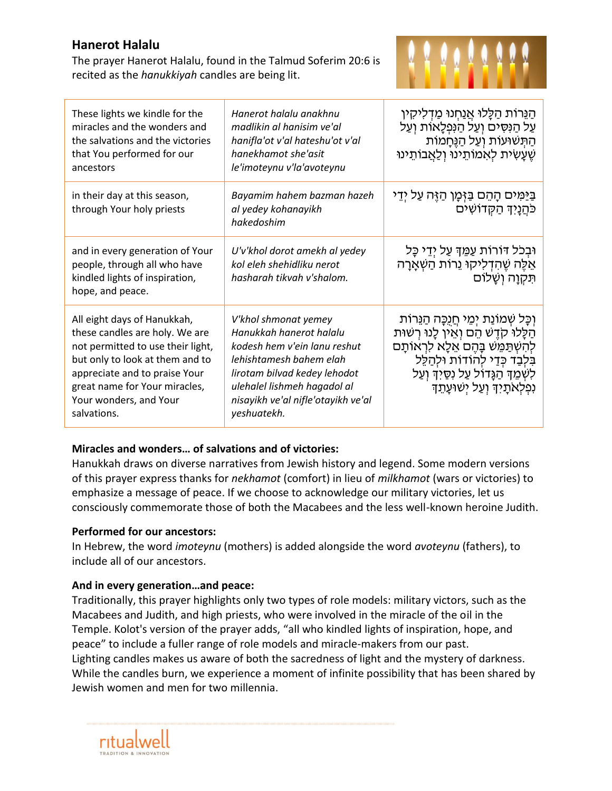# **Hanerot Halalu**

The prayer Hanerot Halalu, found in the Talmud Soferim 20:6 is recited as the *hanukkiyah* candles are being lit.



| These lights we kindle for the<br>miracles and the wonders and<br>the salvations and the victories<br>that You performed for our<br>ancestors                                                                                                    | Hanerot halalu anakhnu<br>madlikin al hanisim ve'al<br>hanifla'ot v'al hateshu'ot v'al<br>hanekhamot she'asit<br>le'imoteynu v'la'avoteynu                                                                                     | הַנֵּרוֹת הַלֵּלוּ אֲנַחִנוּ מַדְלִיקִין<br>עַל הַנְּסִים וְעַל הַנְּפְלָאוֹת וְעַל<br>הַתְּשׁוּעוֹת וְעַל הַגֵּחָמוֹת<br>שֵׁעָשִׂית לְאָמוֹתֵינוּ וְלַאֲבוֹתֵינוּ                                                                                     |
|--------------------------------------------------------------------------------------------------------------------------------------------------------------------------------------------------------------------------------------------------|--------------------------------------------------------------------------------------------------------------------------------------------------------------------------------------------------------------------------------|--------------------------------------------------------------------------------------------------------------------------------------------------------------------------------------------------------------------------------------------------------|
| in their day at this season,<br>through Your holy priests                                                                                                                                                                                        | Bayamim hahem bazman hazeh<br>al yedey kohanayikh<br>hakedoshim                                                                                                                                                                | בַּיַּמִּים הָהֵם בַּזְּמָן הַזֶּה עַל יְדֵי<br>כּהֲנָיִךְ הַקְדוֹשִׁים                                                                                                                                                                                |
| and in every generation of Your<br>people, through all who have<br>kindled lights of inspiration,<br>hope, and peace.                                                                                                                            | U'v'khol dorot amekh al yedey<br>kol eleh shehidliku nerot<br>hasharah tikvah v'shalom.                                                                                                                                        | וּבִכֹל דּוֹרוֹת עַמֵּךְ עַל יְדֵי כָּל<br>אֵלֶּה שֶׁהִדְלִיקוּ נֵרוֹת הַשָּׁאֲרָה<br>תִּקְוָה וְשָׁלוֹם                                                                                                                                               |
| All eight days of Hanukkah,<br>these candles are holy. We are<br>not permitted to use their light,<br>but only to look at them and to<br>appreciate and to praise Your<br>great name for Your miracles,<br>Your wonders, and Your<br>salvations. | V'khol shmonat yemey<br>Hanukkah hanerot halalu<br>kodesh hem v'ein lanu reshut<br>lehishtamesh bahem elah<br>lirotam bilvad kedey lehodot<br>ulehalel lishmeh hagadol al<br>nisayikh ve'al nifle'otayikh ve'al<br>yeshuatekh. | וִכָּל שִׁמוֹנַת יִמֵי חֵנְכָּה הַגֵּרוֹת<br>הַלָּלוּ קֹדֵשׁ הֵם וְאֵין לָנוּ רִשׁוּת<br>לְהִשְׁתַּמֵּשׁ בָּהֵם אֵלָא לִרְאוֹתַם<br>בִּלְבַד כִּדַי לְהוֹדוֹת וּלְהַלֵּל<br>לִשְׁמֵךְ הַגָּדוֹל עַל נְסֵיִךְ וְעַל<br>נִפְלְאֹתָיִךְ וְעַל יִשׁוּעַתֵך |

#### **Miracles and wonders… of salvations and of victories:**

Hanukkah draws on diverse narratives from Jewish history and legend. Some modern versions of this prayer express thanks for *nekhamot* (comfort) in lieu of *milkhamot* (wars or victories) to emphasize a message of peace. If we choose to acknowledge our military victories, let us consciously commemorate those of both the Macabees and the less well-known heroine Judith.

#### **Performed for our ancestors:**

In Hebrew, the word *imoteynu* (mothers) is added alongside the word *avoteynu* (fathers), to include all of our ancestors.

### **And in every generation…and peace:**

Traditionally, this prayer highlights only two types of role models: military victors, such as the Macabees and Judith, and high priests, who were involved in the miracle of the oil in the Temple. Kolot's version of the prayer adds, "all who kindled lights of inspiration, hope, and peace" to include a fuller range of role models and miracle-makers from our past. Lighting candles makes us aware of both the sacredness of light and the mystery of darkness. While the candles burn, we experience a moment of infinite possibility that has been shared by Jewish women and men for two millennia.

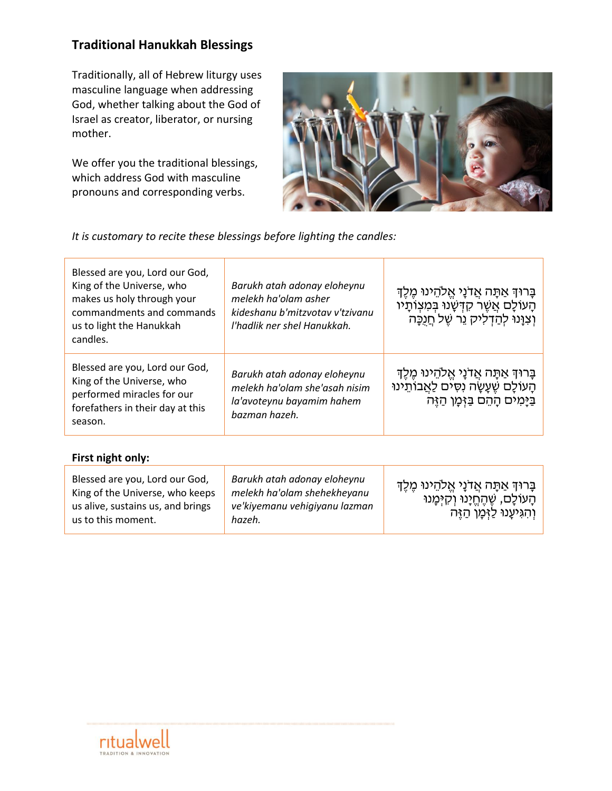# **Traditional Hanukkah Blessings**

Traditionally, all of Hebrew liturgy uses masculine language when addressing God, whether talking about the God of Israel as creator, liberator, or nursing mother.

We offer you the traditional blessings, which address God with masculine pronouns and corresponding verbs.



*It is customary to recite these blessings before lighting the candles:*

| Blessed are you, Lord our God,<br>King of the Universe, who<br>makes us holy through your<br>commandments and commands<br>us to light the Hanukkah<br>candles. | Barukh atah adonay eloheynu<br>melekh ha'olam asher<br>kideshanu b'mitzvotav v'tzivanu<br>l'hadlik ner shel Hanukkah. | ַבָּרוּדְ אַתָּה אֲדֹנָי אֱלֹהֵינוּ מֶלֶדְ<br>הָעוֹלָם אֲשֶׁר קִדְּשָׂנוּ בִּמְצְוֹתָיו<br>וְצִוָּנוּ לְהַדְלִיק נֵר שֵׁל חֲנְכָּה |
|----------------------------------------------------------------------------------------------------------------------------------------------------------------|-----------------------------------------------------------------------------------------------------------------------|------------------------------------------------------------------------------------------------------------------------------------|
| Blessed are you, Lord our God,<br>King of the Universe, who<br>performed miracles for our<br>forefathers in their day at this<br>season.                       | Barukh atah adonay eloheynu<br>melekh ha'olam she'asah nisim<br>la'avoteynu bayamim hahem<br>bazman hazeh.            | ַבָּרוּךְ אַתָּה אֲדֹנָי אֱלֹהֵינוּ מֶלֶךְ<br>הַעוֹלַם שֵׁעַשַׂה נְסִים לַאֲבוֹתֵינוּ<br>בַּיָּמִים הָהֵם בַּזִּמַן הַזֵּה         |

### **First night only:**

| Blessed are you, Lord our God,<br>King of the Universe, who keeps<br>us alive, sustains us, and brings<br>us to this moment. | Barukh atah adonay eloheynu<br>melekh ha'olam shehekheyanu<br>ve'kiyemanu vehiqiyanu lazman<br>hazeh. | בָּרוּדְּ אַתָּה אֲדֹנָי אֱלֹהֵינוּ מֵלֵדְ<br>ּהָעוֹלָם, שֵׁהֵחֵיָנוּ וְקִיִּכְנוּ<br>וְהִגִּיעָנוּ לַזְּמָן הַזֶּה |
|------------------------------------------------------------------------------------------------------------------------------|-------------------------------------------------------------------------------------------------------|---------------------------------------------------------------------------------------------------------------------|
|------------------------------------------------------------------------------------------------------------------------------|-------------------------------------------------------------------------------------------------------|---------------------------------------------------------------------------------------------------------------------|